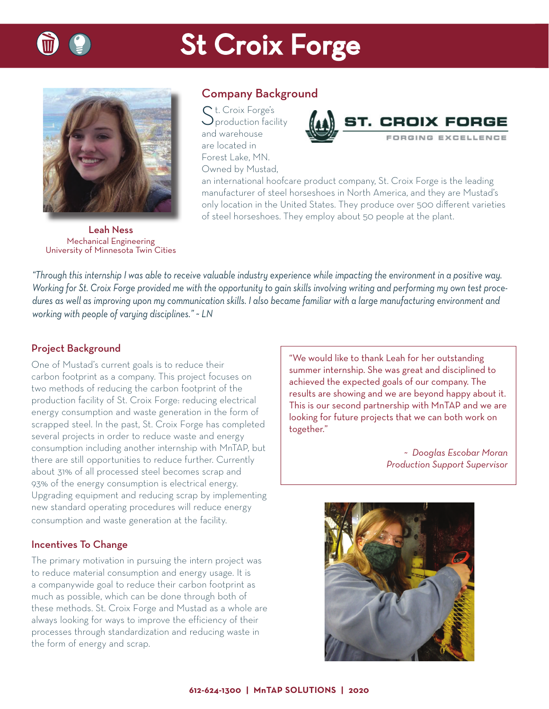

## **St Croix Forge**



Company Background

 $C$  t. Croix Forge's production facility and warehouse are located in Forest Lake, MN. Owned by Mustad,



an international hoofcare product company, St. Croix Forge is the leading manufacturer of steel horseshoes in North America, and they are Mustad's only location in the United States. They produce over 500 different varieties of steel horseshoes. They employ about 50 people at the plant.

Leah Ness Mechanical Engineering University of Minnesota Twin Cities

*"Through this internship I was able to receive valuable industry experience while impacting the environment in a positive way. Working for St. Croix Forge provided me with the opportunity to gain skills involving writing and performing my own test procedures as well as improving upon my communication skills. I also became familiar with a large manufacturing environment and working with people of varying disciplines." ~ LN*

## Project Background

One of Mustad's current goals is to reduce their carbon footprint as a company. This project focuses on two methods of reducing the carbon footprint of the production facility of St. Croix Forge: reducing electrical energy consumption and waste generation in the form of scrapped steel. In the past, St. Croix Forge has completed several projects in order to reduce waste and energy consumption including another internship with MnTAP, but there are still opportunities to reduce further. Currently about 31% of all processed steel becomes scrap and 93% of the energy consumption is electrical energy. Upgrading equipment and reducing scrap by implementing new standard operating procedures will reduce energy consumption and waste generation at the facility.

### Incentives To Change

The primary motivation in pursuing the intern project was to reduce material consumption and energy usage. It is a companywide goal to reduce their carbon footprint as much as possible, which can be done through both of these methods. St. Croix Forge and Mustad as a whole are always looking for ways to improve the efficiency of their processes through standardization and reducing waste in the form of energy and scrap.

"We would like to thank Leah for her outstanding summer internship. She was great and disciplined to achieved the expected goals of our company. The results are showing and we are beyond happy about it. This is our second partnership with MnTAP and we are looking for future projects that we can both work on together."

> *~ Dooglas Escobar Moran Production Support Supervisor*